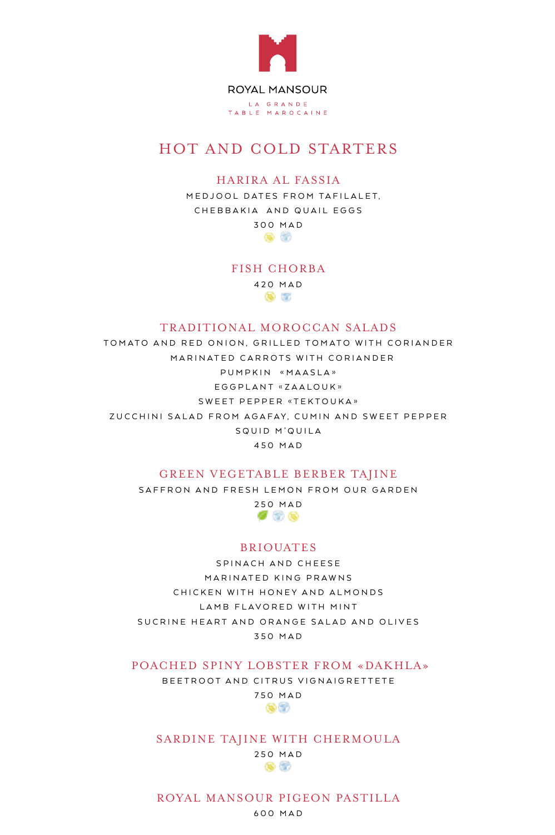

## HOT AND COLD STARTERS

### HARIRA AL FASSIA

MEDJOOL DATES FROM TAFILALET, CHEBBAKIA AND QUAIL EGGS 300 MAD

 $\bullet$   $\circ$ 

FISH CHORBA

420 MAD  $\bullet$ 

#### TRADITIONAL MOROCCAN SALADS

TOMATO AND RED ONION, GRILLED TOMATO WITH CORIANDER MARINATED CARROTS WITH CORIANDER PUMPKIN «MAASLA» EGGPLANT «ZAALOUK» SWEET PEPPER «TEKTOUKA» ZUCCHINI SALAD FROM AGAFAY, CUMIN AND SWEET PEPPER SQUID M'QUILA 450 MAD

#### GREEN VEGETABLE BERBER TAJINE

SAFFRON AND FRESH LEMON FROM OUR GARDEN

250 MAD  $\sigma$  3 0

#### BRIOUATES

SPINACH AND CHEESE MARINATED KING PRAWNS CHICKEN WITH HONEY AND ALMONDS LAMB FLAVORED WITH MINT SUCRINE HEART AND ORANGE SALAD AND OLIVES 350 MAD

POACHED SPINY LOBSTER FROM «DAKHLA»

BEETROOT AND CITRUS VIGNAIGRETTETE 750 MAD



#### SARDINE TAJINE WITH CHERMOULA

250 MAD 88 G

#### ROYAL MANSOUR PIGEON PASTILLA

600 MAD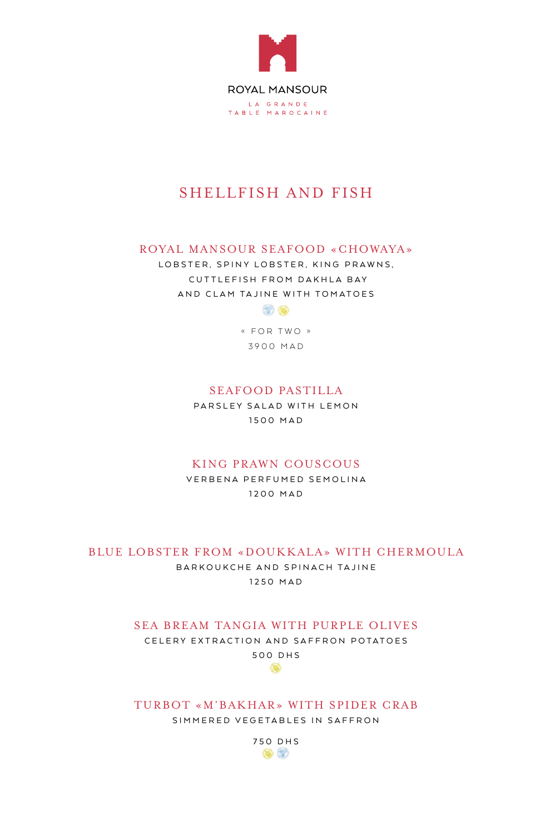

## SHELLFISH AND FISH

### ROYAL MANSOUR SEAFOOD «CHOWAYA»

LOBSTER, SPINY LOBSTER, KING PRAWNS, CUTTLEFISH FROM DAKHLA BAY AND CLAM TAJINE WITH TOMATOES



« FOR TWO » 3900 MAD

## SEAFOOD PASTILLA

PARSLEY SALAD WITH LEMON 1500 MAD

## KING PRAWN COUSCOUS

VERBENA PERFUMED SEMOLINA 1200 MAD

#### BLUE LOBSTER FROM «DOUKKALA» WITH CHERMOULA

BARKOUKCHE AND SPINACH TAJINE 1250 MAD

## SEA BREAM TANGIA WITH PURPLE OLIVES

CELERY EXTRACTION AND SAFFRON POTATOES 500 DHS œ

TURBOT «M'BAKHAR» WITH SPIDER CRAB SIMMERED VEGETABLES IN SAFFRON

> 750 DHS  $\bullet$   $\circ$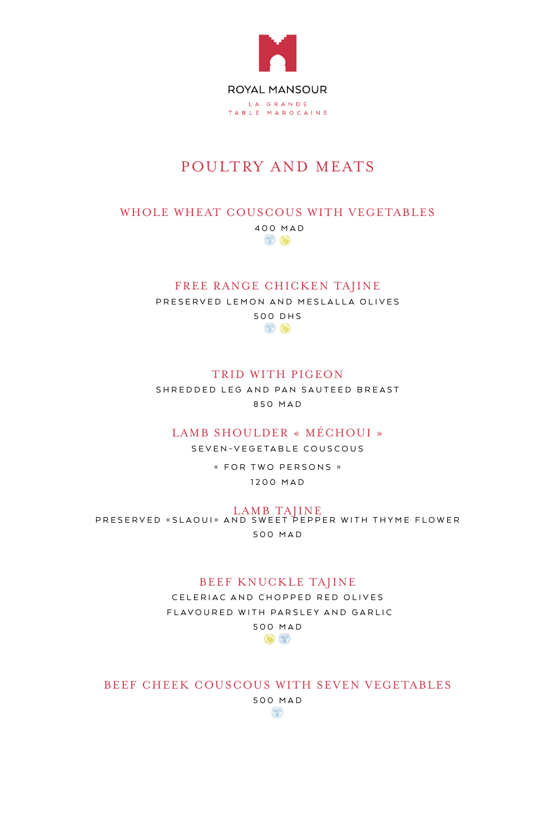

# POULTRY AND MEATS

## WHOLE WHEAT COUSCOUS WITH VEGETABLES

400 MAD 80 Q

#### FREE RANGE CHICKEN TAJINE

PRESERVED LEMON AND MESLALLA OLIVES

500 DHS 80 Q

## TRID WITH PIGEON

SHREDDED LEG AND PAN SAUTEED BREAST 850 MAD

## LAMB SHOULDER « MÉCHOUI »

SEVEN-VEGETABLE COUSCOUS

« FOR TWO PERSONS » 1200 MAD

E LAMB TAJINE<br>PRESERVED «SLAOUI» AND SWEET PEPPER WITH THYME FLOWER 500 MAD

#### BEEF KNUCKLE TAJINE

CELERIAC AND CHOPPED RED OLIVES FLAVOURED WITH PARSLEY AND GARLIC



BEEF CHEEK COUSCOUS WITH SEVEN VEGETABLES

500 MAD SB.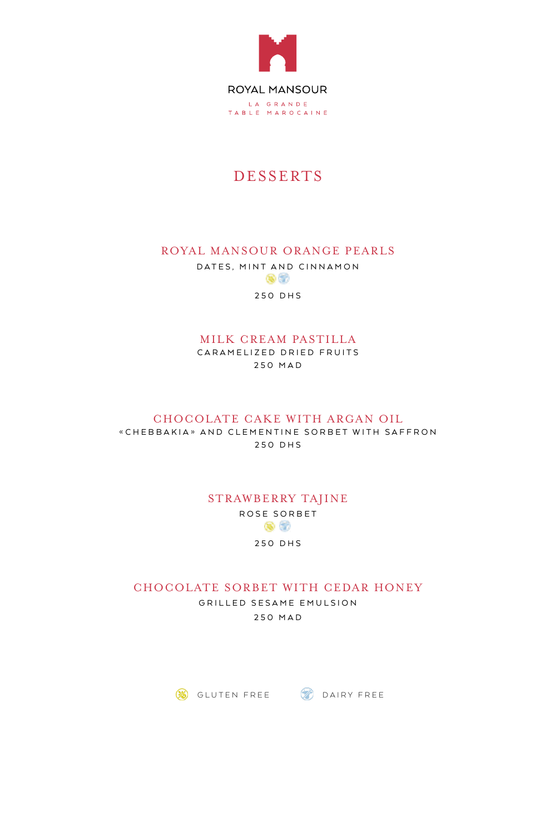

## DESSERTS

## ROYAL MANSOUR ORANGE PEARLS

DATES, MINT AND CINNAMON  $\bullet$   $\circ$ 

250 DHS

## MILK CREAM PASTILLA

CARAMELIZED DRIED FRUITS 250 MAD

#### CHOCOLATE CAKE WITH ARGAN OIL

«CHEBBAKIA» AND CLEMENTINE SORBET WITH SAFFRON 250 DHS

## STRAWBERRY TAJINE ROSE SORBET  $\bullet$   $\circ$ 250 DHS

CHOCOLATE SORBET WITH CEDAR HONEY

GRILLED SESAME EMULSION 250 MAD